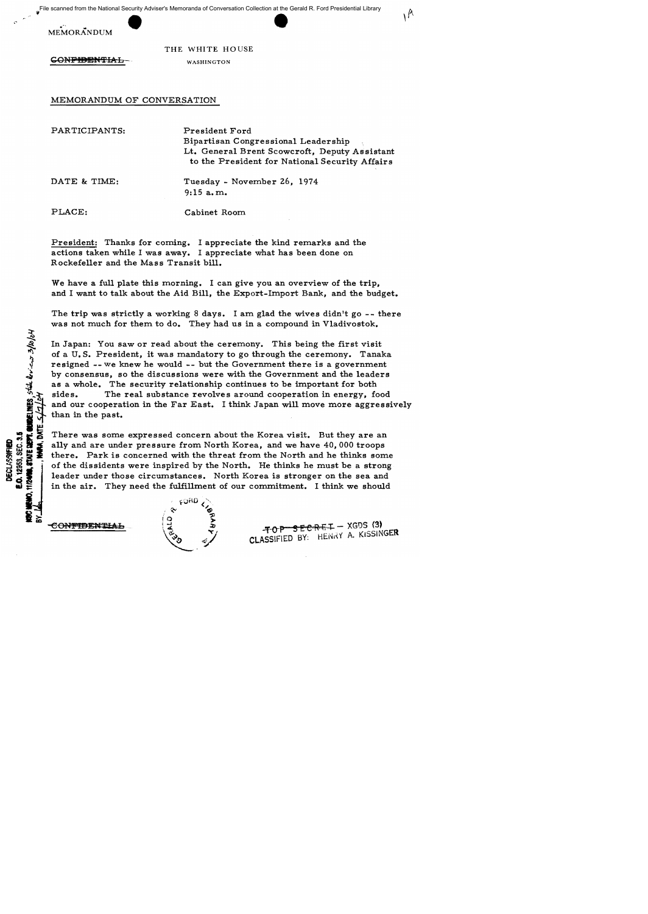File scanned from the National Security Adviser's Memoranda of Conversation Collection at the Gerald R. Ford Presidential Library



CONPHENTIAL WASHINGTON

THE WHITE HOUSE

MEMORANDUM OF CONVERSATION MEMORANDUM OF CONVERSATION PARTICIPANTS:

PARTICIPANTS: President Ford

Bipartisan Congressional Leadership Congressional Lt. General Brent Scowcroft, Deputy Assistant to the President for National Security Affairs

 $\Lambda$ 

DATE & TIME: Tuesday - November 26, 1974 9:15a.m.

PLACE:

**WORLINES**, state devices 3/10/04

12958, SEC. 3.5 **DECLASSIFIED** 

Cabinet Room

President: Thanks for coming. I appreciate the kind remarks and the actions taken while I was away. I appreciate what has been done on Rockefeller and the Mass Transit bill. Lt. General Brent Scowcroft, Deputy Assistant<br>
to the President for National Security Affairs<br>
Tuesday - November 26, 1974<br>
9:15 a.m.<br>
PLACE: Cabinet Room<br>
President: Thanks for coming. I appreciate the kind remarks and th

We have a full plate this morning. I can give you an overview of the trip, and I want to talk about the Aid Bill, the Export-Import Bank, and the budget.

The trip was strictly a working 8 days. I am glad the wives didn't go -- there was not much for them to do. They had us in a compound in Vladivostok.

In Japan: You saw or read about the ceremony. This being the first visit of a U.S. President, it was mandatory to go through the ceremony. Tanaka resigned -- we knew he would -- but the Government there is a government by consensus, so the discussions were with the Government and the leaders as resigned -- we knew he would -- but the Government there is a government by consensus, so the discussions were with the Government and the leaders as a whole. The security relationship continues to be important for both sides. The real substance revolves around cooperation in energy, food and our cooperation in the Far East. I think Japan will move more aggressively than in the past. sides. The real substance revolves around cooperation in energy, food and our cooperation in the Far East. I think Japan will move more aggressively than in the past.

There was some expressed concern about the Korea visit. But they are an ally and are under pressure from North Korea, and we have 40, 000 troops there. Park is concerned with the threat from the North and he thinks some of the dissidents were inspired by the North. He thinks he must be a strong leader under those circumstances. North Korea is stronger on the sea and in the air. They need the fulfillment of our commitment. I think we should There was some expressed concern about the Korea visit. But they are an ally and are under pressure from North Korea, and we have 40,000 troops there. Park is concerned with the threat from the North and he thinks some of

 $\epsilon_{\rm p} \propto \frac{1}{\epsilon}$ .~. ~ .::0

 $FERET-XGDS (3)$  $\begin{array}{ccccc} \frac{1}{2} & \frac{5}{2} & \frac{1}{4} & \frac{1}{4} & \frac{1}{4} & \frac{1}{4} & \frac{1}{4} & \frac{1}{4} & \frac{1}{4} & \frac{1}{4} & \frac{1}{4} & \frac{1}{4} & \frac{1}{4} & \frac{1}{4} & \frac{1}{4} & \frac{1}{4} & \frac{1}{4} & \frac{1}{4} & \frac{1}{4} & \frac{1}{4} & \frac{1}{4} & \frac{1}{4} & \frac{1}{4} & \frac{1}{4} & \frac{1}{4} & \frac{1}{4} & \frac{1$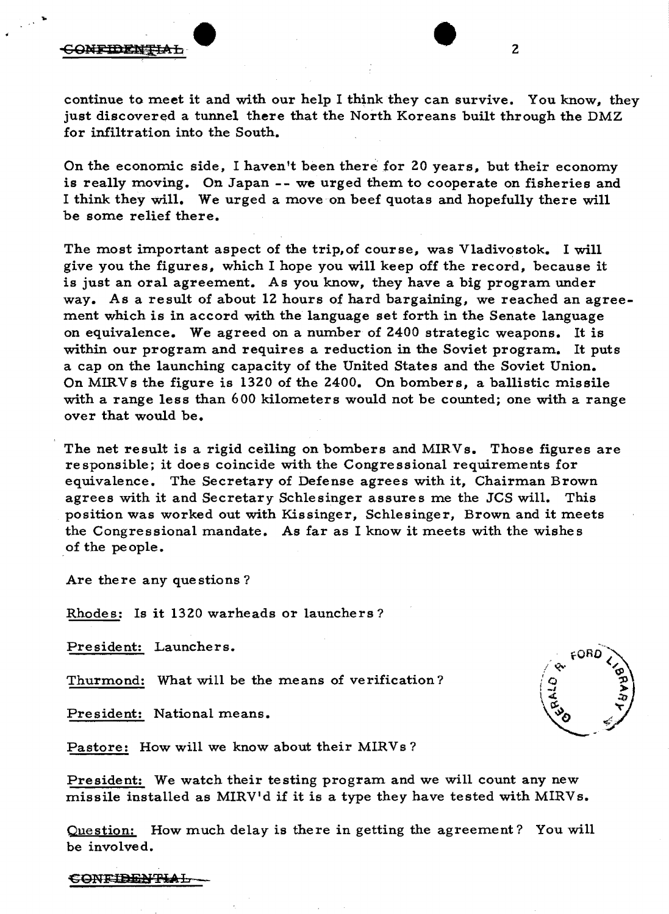#### CONFIDENTIAL



On the economic side, I haven't been therefor 20 years, but their economy is really moving. On Japan **--** we urged them to cooperate on fisheries and I think they will. We urged a move on beef quotas and hopefully there will be some relief there.

The most important aspect of the trip,of course, was Vladivostok. I will give you the figures, which I hope you will keep off the record, because it is just an oral agreement. As you know, they have a big program under way. As a result of about 12 hours of hard bargaining, we reached an agreement which is in accord with the language set forth in the Senate language on equivalence. We agreed on a number of 2400 strategic weapons. It is within our program and requires a reduction in the Soviet program. It puts a cap on the launching capacity of the United States and the Soviet Union. On MIRVs the figure is 1320 of the 2400. On bombers, a ballistic missile with a range less than 600 kilometers would not be counted; one with a range over that would be.

The net result is a rigid ceiling on bombers and MIRVs. Those figures are responsible; it does coincide with the Congressional requirements for equivalence. The Secretary of Defense agrees with it, Chairman Brown agrees with it and Secretary Schlesinger assures me the JCS will. This position was worked out with Kissinger, Schlesinger, Brown and it meets the Congressional mandate. As far as I know it meets with the wishes of the people.

Are there any que stions ?

Rhodes: Is it 1320 warheads or launchers?

President: Launchers.

Thurmond: What will be the means of verification?

President: National means.



Pastore: How will we know about their MIRVs?

President: We watch their testing program and we will count any new missile installed as MIRV'd if it is a type they have tested with MIRVs.

Question: How much delay is there in getting the agreement? You will be involved.

CON<del>LIBENTIAL</del>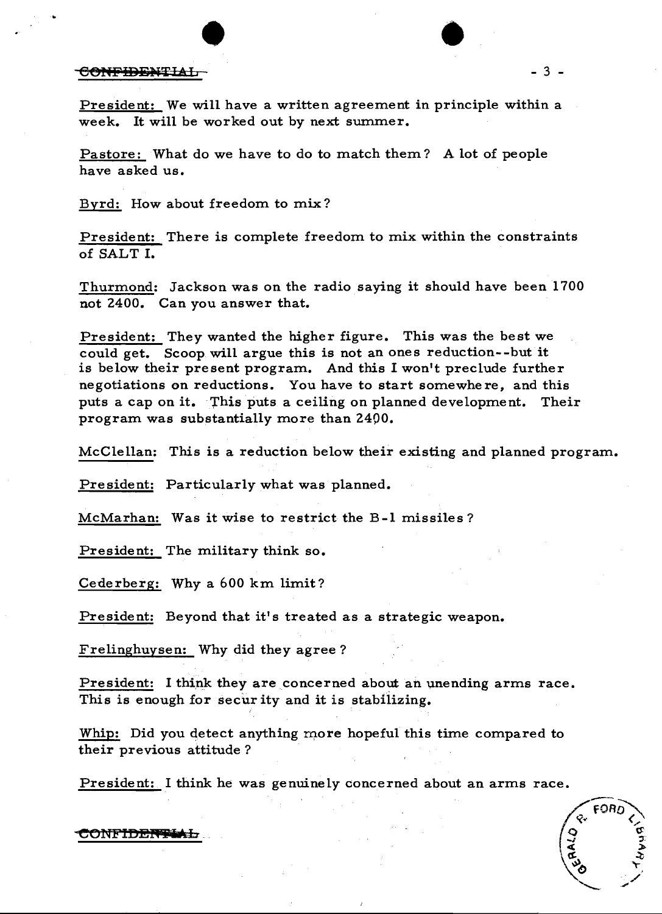# $\bullet$

President: We will have a written agreement in principle within a week. It will be worked out by next summer.

Pastore: What do we have to do to match them? A lot of people have asked us.

Byrd: How about freedom to mix?

President: There is complete freedom to mix within the constraints of SALT I.

Thurmond: Jackson was on the radio saying it should have been 1700 not 2400. Can you answer that.

President: They wanted the higher figure. This was the best we could get. Scoop will argue this is not an ones reduction--but it is below their present program. And this I won't preclude further negotiations on reductions. You have to start somewhere, and this puts a cap on it. This puts a ceiling on planned development. Their program was substantially more than 2400.

McClellan: This is a reduction below their existing and planned program.

President: Particularly what was planned.

McMarhan: Was it wise to restrict the B-1 missiles?

President: The military think so.

Cederberg: Why a  $600$  km limit?

President: Beyond that it's treated as a strategic weapon.

Frelinghuysen: Why did they agree?

President: I think they are concerned about an unending arms race. This is enough for secur ity and it is stabilizing.

Whip: Did you detect anything more hopeful this time compared to their previous attitude?

President: I think he was genuinely concerned about an arms race.

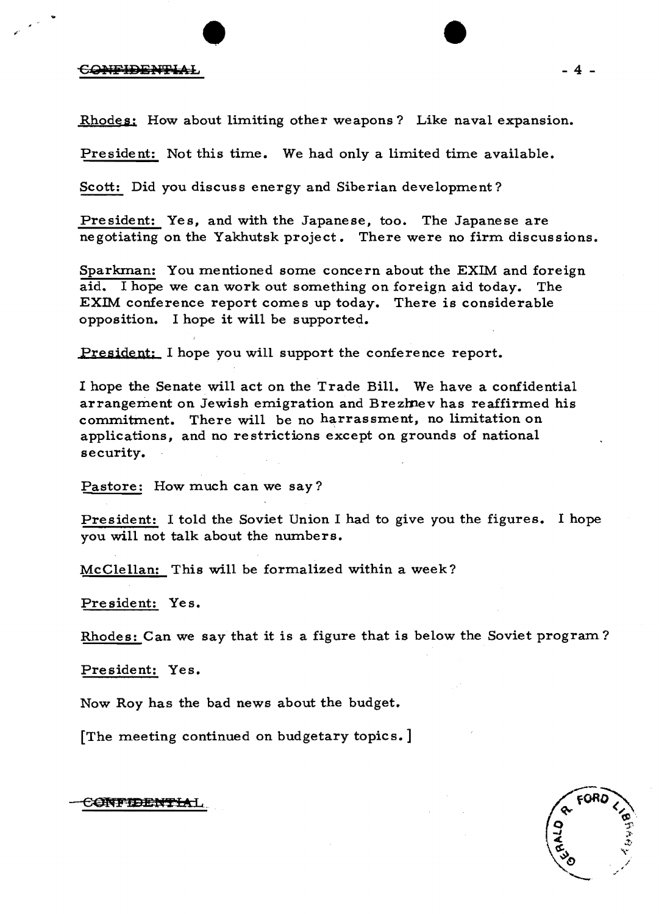Rhodes: How about limiting other weapons? Like naval expansion.

 $\bullet$   $\bullet$ 

President: Not this time. We had only a limited time available.

Scott: Did you discuss energy and Siberian development?

President: Yes, and with the Japanese, too. The Japanese are negotiating on the Yakhutsk project. There were no firm discussions.

Sparkman: You mentioned some concern about the EXIM and foreign aid. I hope we can work out something on foreign aid today. The EXIM conference report comes up today. There is considerable opposition. I hope it will be supported.

President: I hope you will support the conference report.

I hope the Senate will act on the Trade Bill. We have a confidential arrangement on Jewish emigration and Brezmev has reaffirmed his commitment. There will be no harrassment, no limitation on applications, and no restrictions except on grounds of national security.

Pastore: How much can we say?

President: I told the Soviet Union I had to give you the figures. I hope you will not talk about the numbers.

McClellan: This will be formalized within a week?

President: Yes.

Rhodes: Can we say that it is a figure that is below the Soviet program ?

President: Yes.

Now Roy has the bad news about the budget.

[The meeting continued on budgetary topics.]

![](_page_3_Picture_16.jpeg)

CONFIDENTIAL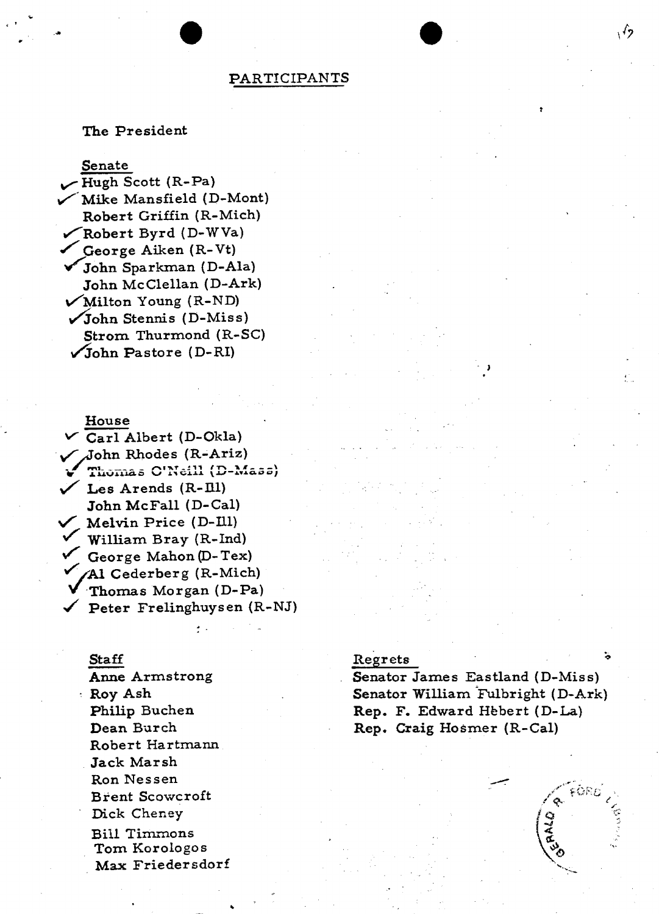# **PARTICIPANTS**

## The President

## Senate

Hugh Scott (R-Pa) Mike Mansfield (D-Mont) Robert Griffin (R-Mich) Robert Byrd (D-WVa) George Aiken (R-Vt) John Sparkman (D-Ala) John McClellan (D-Ark)  $\sqrt{\text{Milton Young (R-ND)}}$  $\sqrt{\text{John Stennis (D-Miss)}}$ Strom Thurmond (R-SC)  $\sqrt{\text{John Paste}}$  (D-RI)

# House

 $\vee$  Carl Albert (D-Okla) John Rhodes (R-Ariz) Thomas C'Neill (D-Mass)  $\checkmark$  Les Arends (R-Ill) John McFall (D-Cal) Melvin Price (D-Ill) William Bray (R-Ind) George Mahon (D-Tex) Al Cederberg (R-Mich) Thomas Morgan (D-Pa)  $\checkmark$  Peter Frelinghuysen (R-NJ)

### **Staff**

Anne Armstrong : Roy Ash Philip Buchen Dean Burch Robert Hartmann Jack Marsh Ron Nessen **Brent Scowcroft** Dick Cheney **Bill Timmons** Tom Korologos Max Friedersdorf

#### Regrets

Senator James Eastland (D-Miss) Senator William Fulbright (D-Ark) Rep. F. Edward Hebert (D-La) Rep. Craig Hosmer (R-Cal)

![](_page_4_Picture_10.jpeg)

 $\sqrt{2}$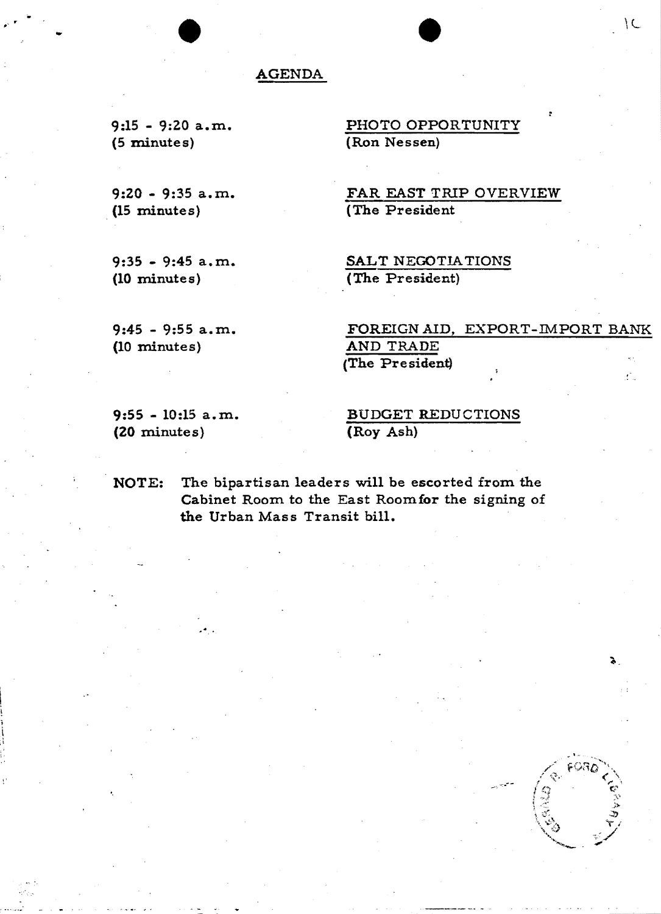# AGENDA

9:15 - 9:20 a.m. (5 minutes)

•

9:20 - 9:35 a.m. (15 minute s)

9:35 - 9:45 a.m. (10 minutes)

PHOTO OPPORTUNITY (Ron Nessen)

•

 $\backslash$ 

FAR EAST TRIP OVERVIEW (The President

SALT NEGOTIATIONS (The President)

9:45 - 9:55 a. m. (10 minutes)

FOREIGN AID, EXPORT-IMPORT BANK AND TRADE (The President) ,-

9:55 - 10:15 a. m. (20 minute s)

 $\ddot{\bullet}$  .

,i

BUDGET REDUCTIONS (Roy Ash)

NOTE: The bipartisan leaders will be escorted from the Cabinet Room to the East Roomfor the signing of the Urban Mass Transit bill.

![](_page_5_Picture_12.jpeg)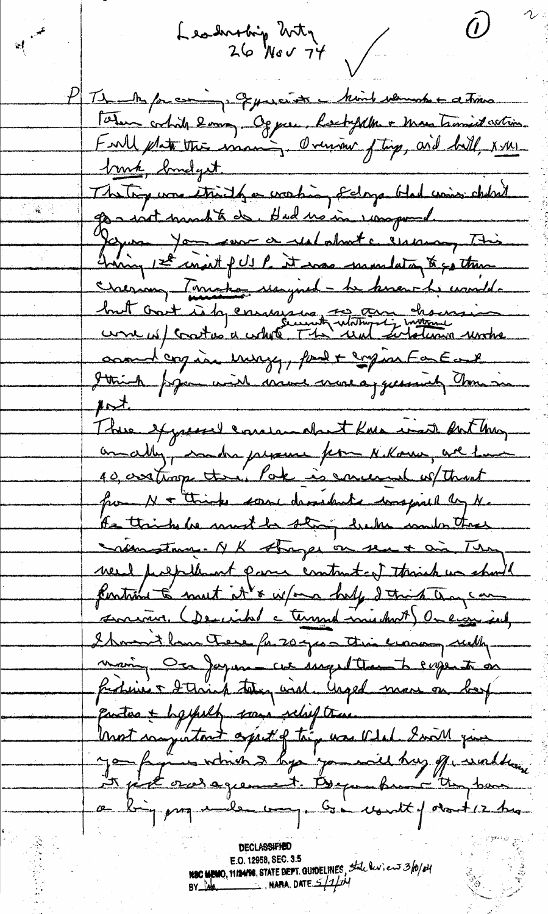$\bm{\mathcal{D}}^-$ Leadersbing Witz<br>26 Nov 74  $\mathbb{R}$ PT1 why for coming of precent in him when the detroits Fatur ortide 2 min Og par lockfelle + Mars transist action.<br>Faille plate this issuer, Oversion ftig, and hill, x m <u>truck, brudget</u> voir, méget go - wat mand to do. Had no in som poud. Jegues Jon vous a restatant c'essaison This Creenan Terreto usyned - he know he usuald. brut cont is la conservant notaine chances comme cogine muzy, pour compon Fastal Strich poper with more more of guessialy massive  $\mu$ rt There expected concernation there is in surthy andly, madra presence pour Nekoma, ave home 10, assituage there. Pake is carreral without from N & thinks some desidents was procedurely No the thinks he wont be stry but could the Siemstage NK strager on seu + ai They need prepalment para contrat of through us show! funtion to mut it's w/one help 2 this trans com surviver (Demind a terrind minutes) On ever int Showed home these for 200 years this evening with main, Ca Japan cu inquitement expertisen fastinés d'Aviat tougend. Urged mons on best Unot computant april of try was vital Iwill give you fight and agreement. Began hunt the book with ce big prog under way. Go won't for the high

**DECLASSIFIED** E.O. 12958, SEC. 3.5 NSC MEMO, 11/14/98, STATE BEFT. GUIDELINES, State leviews 3/0/04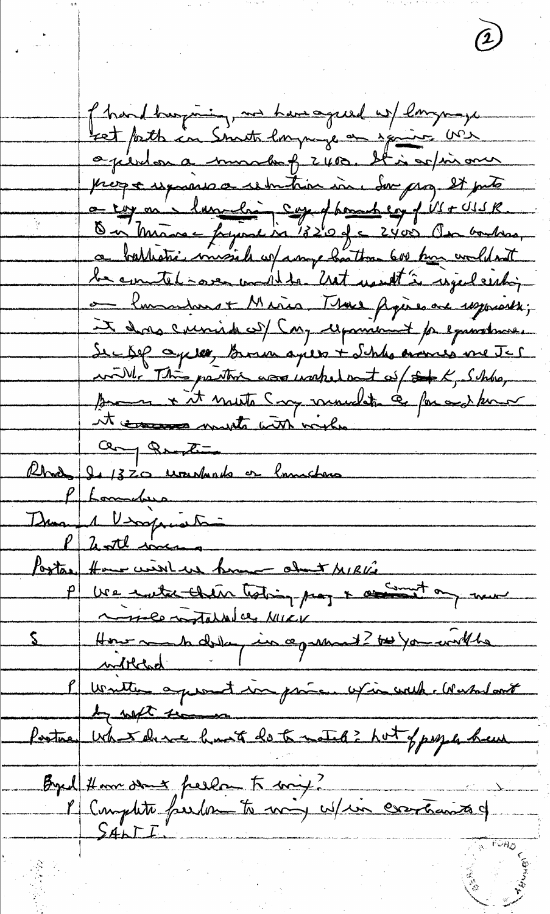f hard burguing, we have agreed w/ longuage ret fath in Snot largunge en spaint Me opierdon a munchof 2400. It is artimoner progre espagnes a remitaire in Son prog et pete a cap on langulain capped tomat cop of VI + USR. On Minore franc in 1820 de 2400 Au 60 hours. le contel-one au 11 du 2017 monthé régideration It does curied cof Cay repairement pe equations. De Dep ceptes, Bonne après + Schles només me Jer will. This partire was wakelout of  $\iff K, Shw$ pour x it meste sur muchte à par sur terme it common must with with  $Q_{\text{avg}}$   $Q_{\text{avg}}$ Rhod 2.1320 wonderds or lowchers P Lamelina Duannel Virginiation P 2ntl mas Postar Home wirk us home about MIRVE P ve entre cheu totin pay + assist on me l'unitte apparent in prince un coule Manhout by with time Postas War deve hust de te noted ? Not of people hem Byd Homsen peels to my?<br>I Complete feeder to may whin contains of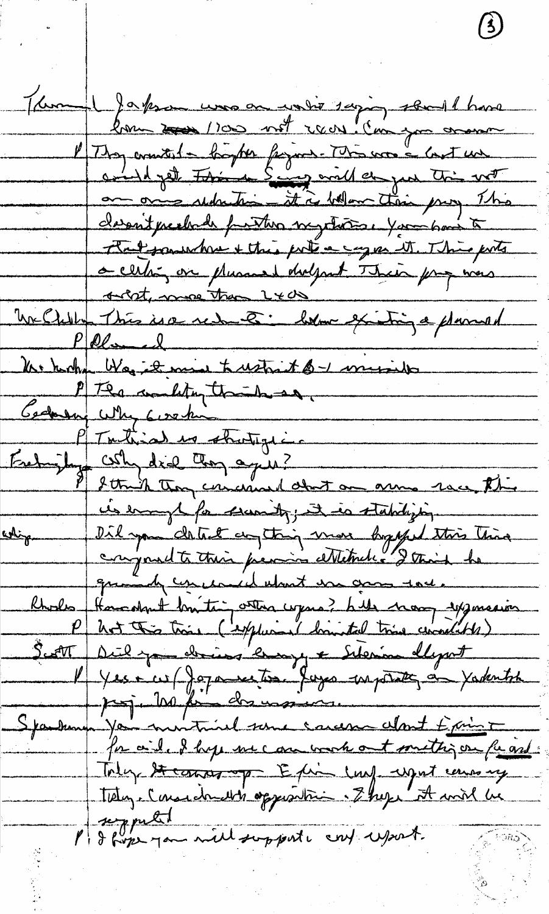Temple Japon une en votir sapig sen 1 have l'Itay countril a bogter figure. This was a last un and yet this Say will do you this with an one sedention it is below their prog This classist prechada function surpretations your have to Patsoniche ettre pote egge et This ports a certain on plusant dolpart Their proposes 1 <u>outste me than 2000</u> McChillen This is a reduce : born existing a planned Pelmel 1 P The condition that have Gernany Why Gershi Evelyity which is strategie. les enough for secondy; it is stabilizen whip I Did you detect any thing more by you this thing conjoint to their pression ettetribus 2 thanh he quande concernant un grou soit Rhodes Hommes britain vous de huis mon sysmessier P Unt this time ( exploit is himsted time conditor) Sutt Diely dries 'longy & Sterin ellywt l'Yessie (Japanestre Juyes enpoint au Vadentil Sparkung You minimal some concern clost Exime for aid. I hope we can work out methy on fu and Toly Hearing of Epin lay upot causing tely. Considerable opposition. Ekepe at mil he P & forme you will support conf uport.